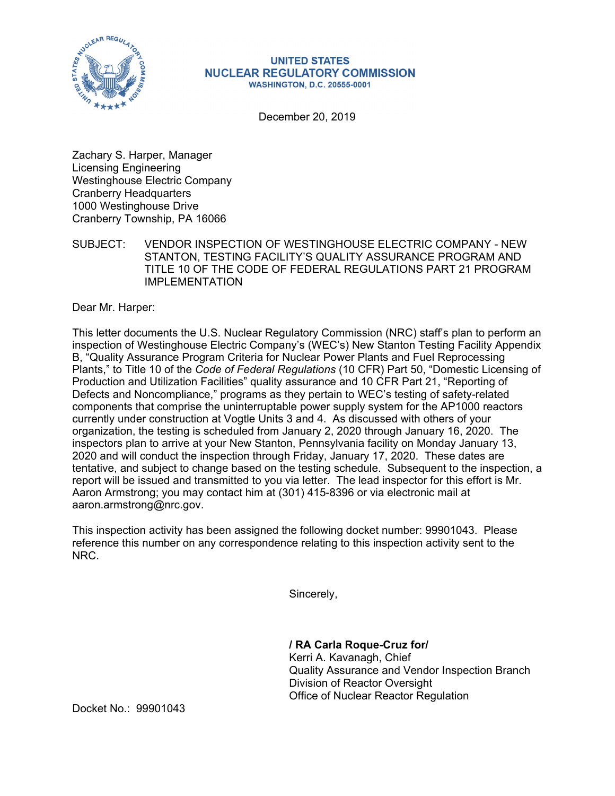

## **UNITED STATES NUCLEAR REGULATORY COMMISSION WASHINGTON, D.C. 20555-0001**

December 20, 2019

Zachary S. Harper, Manager Licensing Engineering Westinghouse Electric Company Cranberry Headquarters 1000 Westinghouse Drive Cranberry Township, PA 16066

SUBJECT: VENDOR INSPECTION OF WESTINGHOUSE ELECTRIC COMPANY - NEW STANTON, TESTING FACILITY'S QUALITY ASSURANCE PROGRAM AND TITLE 10 OF THE CODE OF FEDERAL REGULATIONS PART 21 PROGRAM IMPI FMFNTATION

Dear Mr. Harper:

This letter documents the U.S. Nuclear Regulatory Commission (NRC) staff's plan to perform an inspection of Westinghouse Electric Company's (WEC's) New Stanton Testing Facility Appendix B, "Quality Assurance Program Criteria for Nuclear Power Plants and Fuel Reprocessing Plants," to Title 10 of the *Code of Federal Regulations* (10 CFR) Part 50, "Domestic Licensing of Production and Utilization Facilities" quality assurance and 10 CFR Part 21, "Reporting of Defects and Noncompliance," programs as they pertain to WEC's testing of safety-related components that comprise the uninterruptable power supply system for the AP1000 reactors currently under construction at Vogtle Units 3 and 4. As discussed with others of your organization, the testing is scheduled from January 2, 2020 through January 16, 2020. The inspectors plan to arrive at your New Stanton, Pennsylvania facility on Monday January 13, 2020 and will conduct the inspection through Friday, January 17, 2020. These dates are tentative, and subject to change based on the testing schedule. Subsequent to the inspection, a report will be issued and transmitted to you via letter. The lead inspector for this effort is Mr. Aaron Armstrong; you may contact him at (301) 415-8396 or via electronic mail at aaron.armstrong@nrc.gov.

This inspection activity has been assigned the following docket number: 99901043. Please reference this number on any correspondence relating to this inspection activity sent to the NRC.

Sincerely,

**/ RA Carla Roque-Cruz for/**  Kerri A. Kavanagh, Chief Quality Assurance and Vendor Inspection Branch Division of Reactor Oversight Office of Nuclear Reactor Regulation

Docket No.: 99901043